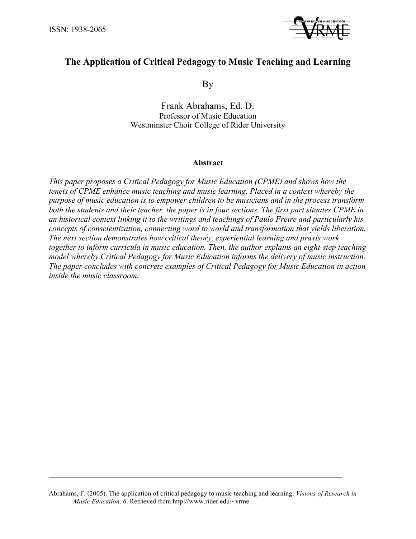

# **The Application of Critical Pedagogy to Music Teaching and Learning**

By

Frank Abrahams, Ed. D. Professor of Music Education Westminster Choir College of Rider University

## **Abstract**

*This paper proposes a Critical Pedagogy for Music Education (CPME) and shows how the tenets of CPME enhance music teaching and music learning. Placed in a context whereby the purpose of music education is to empower children to be musicians and in the process transform both the students and their teacher, the paper is in four sections. The first part situates CPME in an historical context linking it to the writings and teachings of Paulo Freire and particularly his concepts of conscientization, connecting word to world and transformation that yields liberation. The next section demonstrates how critical theory, experiential learning and praxis work together to inform curricula in music education. Then, the author explains an eight-step teaching model whereby Critical Pedagogy for Music Education informs the delivery of music instruction. The paper concludes with concrete examples of Critical Pedagogy for Music Education in action inside the music classroom.*

Abrahams, F. (2005). The application of critical pedagogy to music teaching and learning. *Visions of Research in Music Education, 6*. Retrieved from http://www.rider.edu/~vrme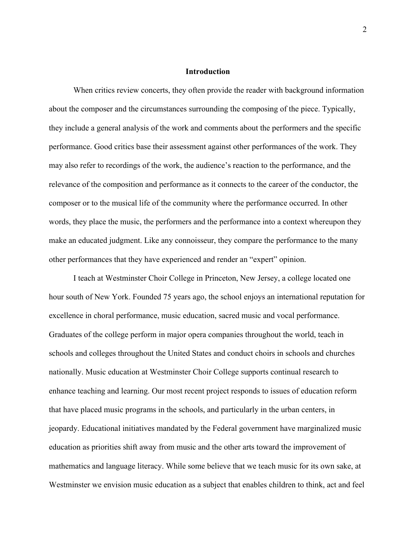### **Introduction**

When critics review concerts, they often provide the reader with background information about the composer and the circumstances surrounding the composing of the piece. Typically, they include a general analysis of the work and comments about the performers and the specific performance. Good critics base their assessment against other performances of the work. They may also refer to recordings of the work, the audience's reaction to the performance, and the relevance of the composition and performance as it connects to the career of the conductor, the composer or to the musical life of the community where the performance occurred. In other words, they place the music, the performers and the performance into a context whereupon they make an educated judgment. Like any connoisseur, they compare the performance to the many other performances that they have experienced and render an "expert" opinion.

I teach at Westminster Choir College in Princeton, New Jersey, a college located one hour south of New York. Founded 75 years ago, the school enjoys an international reputation for excellence in choral performance, music education, sacred music and vocal performance. Graduates of the college perform in major opera companies throughout the world, teach in schools and colleges throughout the United States and conduct choirs in schools and churches nationally. Music education at Westminster Choir College supports continual research to enhance teaching and learning. Our most recent project responds to issues of education reform that have placed music programs in the schools, and particularly in the urban centers, in jeopardy. Educational initiatives mandated by the Federal government have marginalized music education as priorities shift away from music and the other arts toward the improvement of mathematics and language literacy. While some believe that we teach music for its own sake, at Westminster we envision music education as a subject that enables children to think, act and feel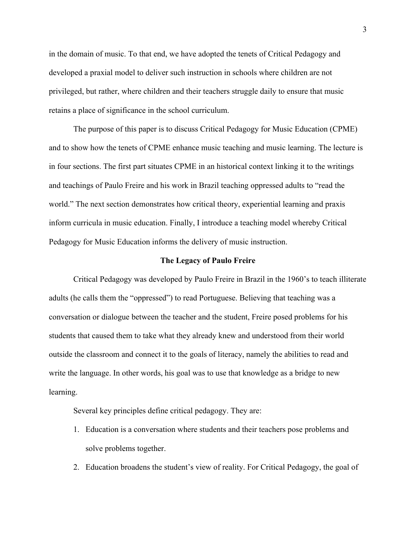in the domain of music. To that end, we have adopted the tenets of Critical Pedagogy and developed a praxial model to deliver such instruction in schools where children are not privileged, but rather, where children and their teachers struggle daily to ensure that music retains a place of significance in the school curriculum.

The purpose of this paper is to discuss Critical Pedagogy for Music Education (CPME) and to show how the tenets of CPME enhance music teaching and music learning. The lecture is in four sections. The first part situates CPME in an historical context linking it to the writings and teachings of Paulo Freire and his work in Brazil teaching oppressed adults to "read the world." The next section demonstrates how critical theory, experiential learning and praxis inform curricula in music education. Finally, I introduce a teaching model whereby Critical Pedagogy for Music Education informs the delivery of music instruction.

#### **The Legacy of Paulo Freire**

Critical Pedagogy was developed by Paulo Freire in Brazil in the 1960's to teach illiterate adults (he calls them the "oppressed") to read Portuguese. Believing that teaching was a conversation or dialogue between the teacher and the student, Freire posed problems for his students that caused them to take what they already knew and understood from their world outside the classroom and connect it to the goals of literacy, namely the abilities to read and write the language. In other words, his goal was to use that knowledge as a bridge to new learning.

Several key principles define critical pedagogy. They are:

- 1. Education is a conversation where students and their teachers pose problems and solve problems together.
- 2. Education broadens the student's view of reality. For Critical Pedagogy, the goal of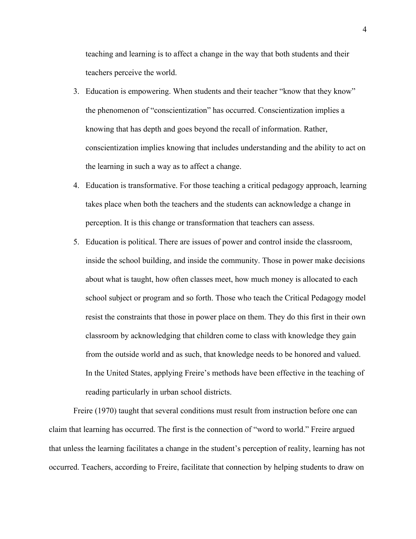teaching and learning is to affect a change in the way that both students and their teachers perceive the world.

- 3. Education is empowering. When students and their teacher "know that they know" the phenomenon of "conscientization" has occurred. Conscientization implies a knowing that has depth and goes beyond the recall of information. Rather, conscientization implies knowing that includes understanding and the ability to act on the learning in such a way as to affect a change.
- 4. Education is transformative. For those teaching a critical pedagogy approach, learning takes place when both the teachers and the students can acknowledge a change in perception. It is this change or transformation that teachers can assess.
- 5. Education is political. There are issues of power and control inside the classroom, inside the school building, and inside the community. Those in power make decisions about what is taught, how often classes meet, how much money is allocated to each school subject or program and so forth. Those who teach the Critical Pedagogy model resist the constraints that those in power place on them. They do this first in their own classroom by acknowledging that children come to class with knowledge they gain from the outside world and as such, that knowledge needs to be honored and valued. In the United States, applying Freire's methods have been effective in the teaching of reading particularly in urban school districts.

Freire (1970) taught that several conditions must result from instruction before one can claim that learning has occurred. The first is the connection of "word to world." Freire argued that unless the learning facilitates a change in the student's perception of reality, learning has not occurred. Teachers, according to Freire, facilitate that connection by helping students to draw on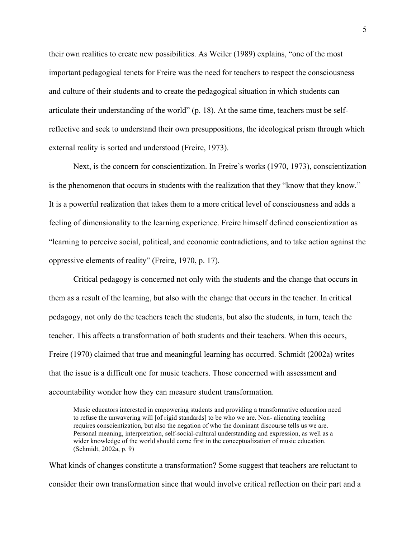their own realities to create new possibilities. As Weiler (1989) explains, "one of the most important pedagogical tenets for Freire was the need for teachers to respect the consciousness and culture of their students and to create the pedagogical situation in which students can articulate their understanding of the world" (p. 18). At the same time, teachers must be selfreflective and seek to understand their own presuppositions, the ideological prism through which external reality is sorted and understood (Freire, 1973).

Next, is the concern for conscientization. In Freire's works (1970, 1973), conscientization is the phenomenon that occurs in students with the realization that they "know that they know." It is a powerful realization that takes them to a more critical level of consciousness and adds a feeling of dimensionality to the learning experience. Freire himself defined conscientization as "learning to perceive social, political, and economic contradictions, and to take action against the oppressive elements of reality" (Freire, 1970, p. 17).

Critical pedagogy is concerned not only with the students and the change that occurs in them as a result of the learning, but also with the change that occurs in the teacher. In critical pedagogy, not only do the teachers teach the students, but also the students, in turn, teach the teacher. This affects a transformation of both students and their teachers. When this occurs, Freire (1970) claimed that true and meaningful learning has occurred. Schmidt (2002a) writes that the issue is a difficult one for music teachers. Those concerned with assessment and accountability wonder how they can measure student transformation.

Music educators interested in empowering students and providing a transformative education need to refuse the unwavering will [of rigid standards] to be who we are. Non- alienating teaching requires conscientization, but also the negation of who the dominant discourse tells us we are. Personal meaning, interpretation, self-social-cultural understanding and expression, as well as a wider knowledge of the world should come first in the conceptualization of music education. (Schmidt, 2002a, p. 9)

What kinds of changes constitute a transformation? Some suggest that teachers are reluctant to consider their own transformation since that would involve critical reflection on their part and a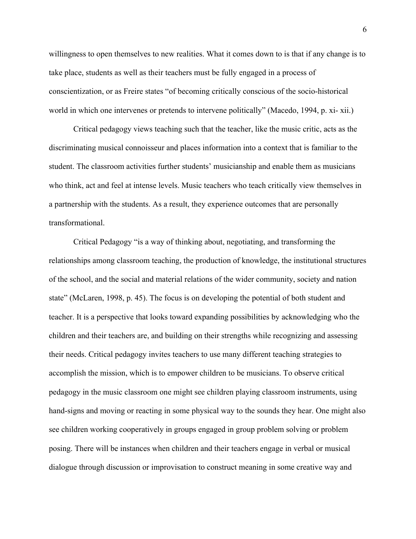willingness to open themselves to new realities. What it comes down to is that if any change is to take place, students as well as their teachers must be fully engaged in a process of conscientization, or as Freire states "of becoming critically conscious of the socio-historical world in which one intervenes or pretends to intervene politically" (Macedo, 1994, p. xi- xii.)

Critical pedagogy views teaching such that the teacher, like the music critic, acts as the discriminating musical connoisseur and places information into a context that is familiar to the student. The classroom activities further students' musicianship and enable them as musicians who think, act and feel at intense levels. Music teachers who teach critically view themselves in a partnership with the students. As a result, they experience outcomes that are personally transformational.

Critical Pedagogy "is a way of thinking about, negotiating, and transforming the relationships among classroom teaching, the production of knowledge, the institutional structures of the school, and the social and material relations of the wider community, society and nation state" (McLaren, 1998, p. 45). The focus is on developing the potential of both student and teacher. It is a perspective that looks toward expanding possibilities by acknowledging who the children and their teachers are, and building on their strengths while recognizing and assessing their needs. Critical pedagogy invites teachers to use many different teaching strategies to accomplish the mission, which is to empower children to be musicians. To observe critical pedagogy in the music classroom one might see children playing classroom instruments, using hand-signs and moving or reacting in some physical way to the sounds they hear. One might also see children working cooperatively in groups engaged in group problem solving or problem posing. There will be instances when children and their teachers engage in verbal or musical dialogue through discussion or improvisation to construct meaning in some creative way and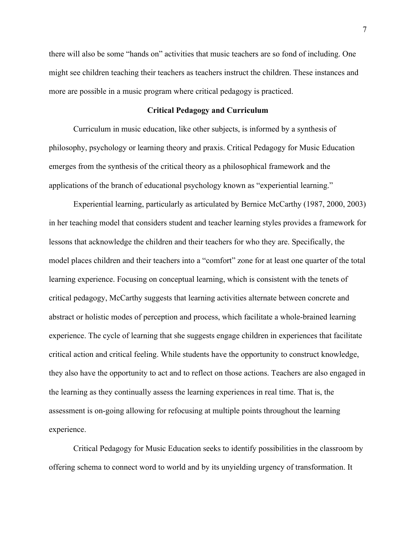there will also be some "hands on" activities that music teachers are so fond of including. One might see children teaching their teachers as teachers instruct the children. These instances and more are possible in a music program where critical pedagogy is practiced.

## **Critical Pedagogy and Curriculum**

Curriculum in music education, like other subjects, is informed by a synthesis of philosophy, psychology or learning theory and praxis. Critical Pedagogy for Music Education emerges from the synthesis of the critical theory as a philosophical framework and the applications of the branch of educational psychology known as "experiential learning."

Experiential learning, particularly as articulated by Bernice McCarthy (1987, 2000, 2003) in her teaching model that considers student and teacher learning styles provides a framework for lessons that acknowledge the children and their teachers for who they are. Specifically, the model places children and their teachers into a "comfort" zone for at least one quarter of the total learning experience. Focusing on conceptual learning, which is consistent with the tenets of critical pedagogy, McCarthy suggests that learning activities alternate between concrete and abstract or holistic modes of perception and process, which facilitate a whole-brained learning experience. The cycle of learning that she suggests engage children in experiences that facilitate critical action and critical feeling. While students have the opportunity to construct knowledge, they also have the opportunity to act and to reflect on those actions. Teachers are also engaged in the learning as they continually assess the learning experiences in real time. That is, the assessment is on-going allowing for refocusing at multiple points throughout the learning experience.

Critical Pedagogy for Music Education seeks to identify possibilities in the classroom by offering schema to connect word to world and by its unyielding urgency of transformation. It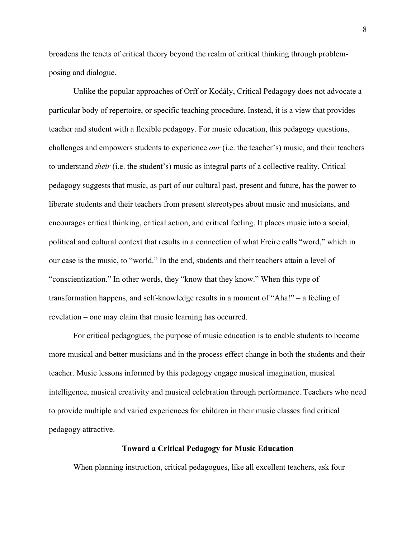broadens the tenets of critical theory beyond the realm of critical thinking through problemposing and dialogue.

Unlike the popular approaches of Orff or Kodály, Critical Pedagogy does not advocate a particular body of repertoire, or specific teaching procedure. Instead, it is a view that provides teacher and student with a flexible pedagogy. For music education, this pedagogy questions, challenges and empowers students to experience *our* (i.e. the teacher's) music, and their teachers to understand *their* (i.e. the student's) music as integral parts of a collective reality. Critical pedagogy suggests that music, as part of our cultural past, present and future, has the power to liberate students and their teachers from present stereotypes about music and musicians, and encourages critical thinking, critical action, and critical feeling. It places music into a social, political and cultural context that results in a connection of what Freire calls "word," which in our case is the music, to "world." In the end, students and their teachers attain a level of "conscientization." In other words, they "know that they know." When this type of transformation happens, and self-knowledge results in a moment of "Aha!" – a feeling of revelation – one may claim that music learning has occurred.

For critical pedagogues, the purpose of music education is to enable students to become more musical and better musicians and in the process effect change in both the students and their teacher. Music lessons informed by this pedagogy engage musical imagination, musical intelligence, musical creativity and musical celebration through performance. Teachers who need to provide multiple and varied experiences for children in their music classes find critical pedagogy attractive.

## **Toward a Critical Pedagogy for Music Education**

When planning instruction, critical pedagogues, like all excellent teachers, ask four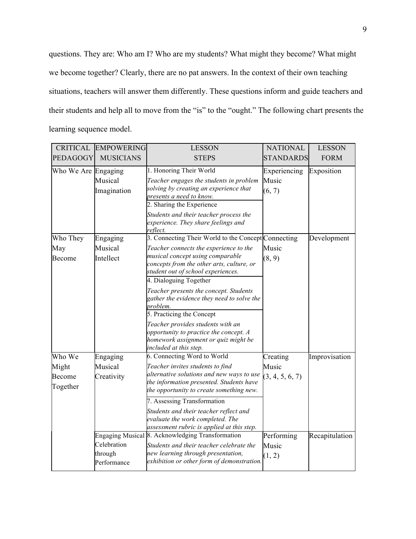questions. They are: Who am I? Who are my students? What might they become? What might we become together? Clearly, there are no pat answers. In the context of their own teaching situations, teachers will answer them differently. These questions inform and guide teachers and their students and help all to move from the "is" to the "ought." The following chart presents the learning sequence model.

| <b>CRITICAL</b>             | <b>EMPOWERING</b>                     | <b>LESSON</b>                                                                                                                                                                                                                                                                                            | <b>NATIONAL</b>                 | <b>LESSON</b>  |
|-----------------------------|---------------------------------------|----------------------------------------------------------------------------------------------------------------------------------------------------------------------------------------------------------------------------------------------------------------------------------------------------------|---------------------------------|----------------|
| <b>PEDAGOGY</b>             | <b>MUSICIANS</b>                      | <b>STEPS</b>                                                                                                                                                                                                                                                                                             | <b>STANDARDS</b>                | <b>FORM</b>    |
| Who We Are Engaging         | Musical<br>Imagination                | 1. Honoring Their World<br>Teacher engages the students in problem<br>solving by creating an experience that<br>presents a need to know.<br>2. Sharing the Experience<br>Students and their teacher process the<br>experience. They share feelings and<br>reflect.                                       | Experiencing<br>Music<br>(6, 7) | Exposition     |
| Who They                    | Engaging                              | 3. Connecting Their World to the Concept Connecting                                                                                                                                                                                                                                                      |                                 | Development    |
| May<br><b>Become</b>        | Musical<br>Intellect                  | Teacher connects the experience to the<br>musical concept using comparable<br>concepts from the other arts, culture, or<br>student out of school experiences.                                                                                                                                            | Music<br>(8, 9)                 |                |
|                             |                                       | 4. Dialoguing Together<br>Teacher presents the concept. Students<br>gather the evidence they need to solve the<br>problem.<br>5. Practicing the Concept<br>Teacher provides students with an<br>opportunity to practice the concept. A<br>homework assignment or quiz might be<br>included at this step. |                                 |                |
| Who We                      | Engaging                              | 6. Connecting Word to World                                                                                                                                                                                                                                                                              | Creating                        | Improvisation  |
| Might<br>Become<br>Together | Musical<br>Creativity                 | Teacher invites students to find<br>alternative solutions and new ways to use<br>the information presented. Students have<br>the opportunity to create something new.                                                                                                                                    | Music<br>(3, 4, 5, 6, 7)        |                |
|                             |                                       | 7. Assessing Transformation<br>Students and their teacher reflect and<br>evaluate the work completed. The<br>assessment rubric is applied at this step.                                                                                                                                                  |                                 |                |
|                             | Celebration<br>through<br>Performance | Engaging Musical 8. Acknowledging Transformation<br>Students and their teacher celebrate the<br>new learning through presentation,<br>exhibition or other form of demonstration.                                                                                                                         | Performing<br>Music<br>(1, 2)   | Recapitulation |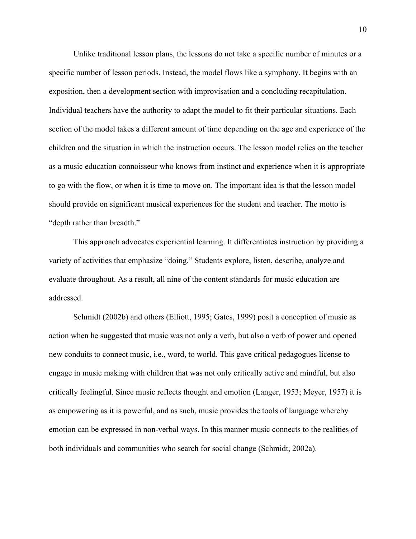Unlike traditional lesson plans, the lessons do not take a specific number of minutes or a specific number of lesson periods. Instead, the model flows like a symphony. It begins with an exposition, then a development section with improvisation and a concluding recapitulation. Individual teachers have the authority to adapt the model to fit their particular situations. Each section of the model takes a different amount of time depending on the age and experience of the children and the situation in which the instruction occurs. The lesson model relies on the teacher as a music education connoisseur who knows from instinct and experience when it is appropriate to go with the flow, or when it is time to move on. The important idea is that the lesson model should provide on significant musical experiences for the student and teacher. The motto is "depth rather than breadth."

This approach advocates experiential learning. It differentiates instruction by providing a variety of activities that emphasize "doing." Students explore, listen, describe, analyze and evaluate throughout. As a result, all nine of the content standards for music education are addressed.

Schmidt (2002b) and others (Elliott, 1995; Gates, 1999) posit a conception of music as action when he suggested that music was not only a verb, but also a verb of power and opened new conduits to connect music, i.e., word, to world. This gave critical pedagogues license to engage in music making with children that was not only critically active and mindful, but also critically feelingful. Since music reflects thought and emotion (Langer, 1953; Meyer, 1957) it is as empowering as it is powerful, and as such, music provides the tools of language whereby emotion can be expressed in non-verbal ways. In this manner music connects to the realities of both individuals and communities who search for social change (Schmidt, 2002a).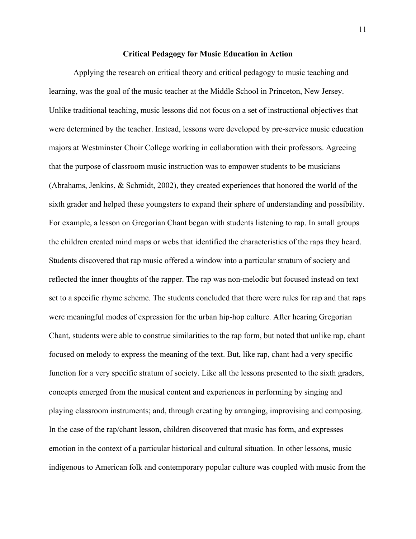## **Critical Pedagogy for Music Education in Action**

Applying the research on critical theory and critical pedagogy to music teaching and learning, was the goal of the music teacher at the Middle School in Princeton, New Jersey. Unlike traditional teaching, music lessons did not focus on a set of instructional objectives that were determined by the teacher. Instead, lessons were developed by pre-service music education majors at Westminster Choir College working in collaboration with their professors. Agreeing that the purpose of classroom music instruction was to empower students to be musicians (Abrahams, Jenkins, & Schmidt, 2002), they created experiences that honored the world of the sixth grader and helped these youngsters to expand their sphere of understanding and possibility. For example, a lesson on Gregorian Chant began with students listening to rap. In small groups the children created mind maps or webs that identified the characteristics of the raps they heard. Students discovered that rap music offered a window into a particular stratum of society and reflected the inner thoughts of the rapper. The rap was non-melodic but focused instead on text set to a specific rhyme scheme. The students concluded that there were rules for rap and that raps were meaningful modes of expression for the urban hip-hop culture. After hearing Gregorian Chant, students were able to construe similarities to the rap form, but noted that unlike rap, chant focused on melody to express the meaning of the text. But, like rap, chant had a very specific function for a very specific stratum of society. Like all the lessons presented to the sixth graders, concepts emerged from the musical content and experiences in performing by singing and playing classroom instruments; and, through creating by arranging, improvising and composing. In the case of the rap/chant lesson, children discovered that music has form, and expresses emotion in the context of a particular historical and cultural situation. In other lessons, music indigenous to American folk and contemporary popular culture was coupled with music from the

11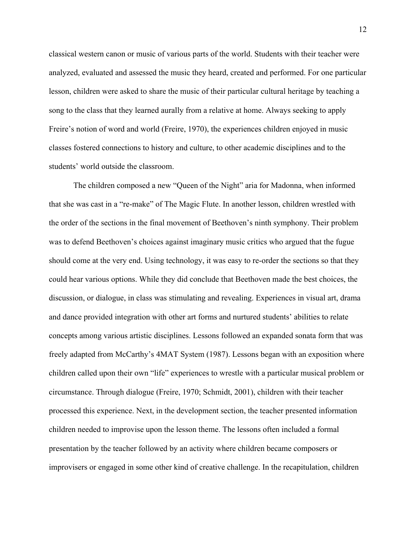classical western canon or music of various parts of the world. Students with their teacher were analyzed, evaluated and assessed the music they heard, created and performed. For one particular lesson, children were asked to share the music of their particular cultural heritage by teaching a song to the class that they learned aurally from a relative at home. Always seeking to apply Freire's notion of word and world (Freire, 1970), the experiences children enjoyed in music classes fostered connections to history and culture, to other academic disciplines and to the students' world outside the classroom.

The children composed a new "Queen of the Night" aria for Madonna, when informed that she was cast in a "re-make" of The Magic Flute. In another lesson, children wrestled with the order of the sections in the final movement of Beethoven's ninth symphony. Their problem was to defend Beethoven's choices against imaginary music critics who argued that the fugue should come at the very end. Using technology, it was easy to re-order the sections so that they could hear various options. While they did conclude that Beethoven made the best choices, the discussion, or dialogue, in class was stimulating and revealing. Experiences in visual art, drama and dance provided integration with other art forms and nurtured students' abilities to relate concepts among various artistic disciplines. Lessons followed an expanded sonata form that was freely adapted from McCarthy's 4MAT System (1987). Lessons began with an exposition where children called upon their own "life" experiences to wrestle with a particular musical problem or circumstance. Through dialogue (Freire, 1970; Schmidt, 2001), children with their teacher processed this experience. Next, in the development section, the teacher presented information children needed to improvise upon the lesson theme. The lessons often included a formal presentation by the teacher followed by an activity where children became composers or improvisers or engaged in some other kind of creative challenge. In the recapitulation, children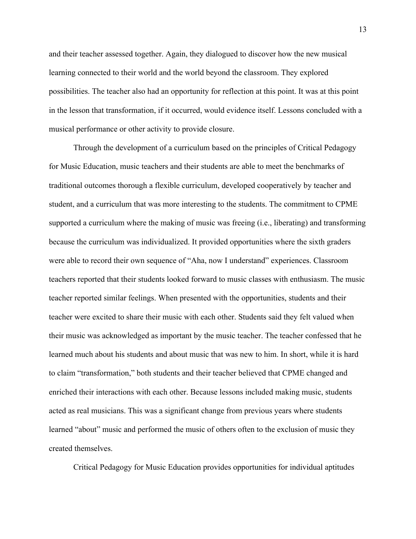and their teacher assessed together. Again, they dialogued to discover how the new musical learning connected to their world and the world beyond the classroom. They explored possibilities. The teacher also had an opportunity for reflection at this point. It was at this point in the lesson that transformation, if it occurred, would evidence itself. Lessons concluded with a musical performance or other activity to provide closure.

Through the development of a curriculum based on the principles of Critical Pedagogy for Music Education, music teachers and their students are able to meet the benchmarks of traditional outcomes thorough a flexible curriculum, developed cooperatively by teacher and student, and a curriculum that was more interesting to the students. The commitment to CPME supported a curriculum where the making of music was freeing (i.e., liberating) and transforming because the curriculum was individualized. It provided opportunities where the sixth graders were able to record their own sequence of "Aha, now I understand" experiences. Classroom teachers reported that their students looked forward to music classes with enthusiasm. The music teacher reported similar feelings. When presented with the opportunities, students and their teacher were excited to share their music with each other. Students said they felt valued when their music was acknowledged as important by the music teacher. The teacher confessed that he learned much about his students and about music that was new to him. In short, while it is hard to claim "transformation," both students and their teacher believed that CPME changed and enriched their interactions with each other. Because lessons included making music, students acted as real musicians. This was a significant change from previous years where students learned "about" music and performed the music of others often to the exclusion of music they created themselves.

Critical Pedagogy for Music Education provides opportunities for individual aptitudes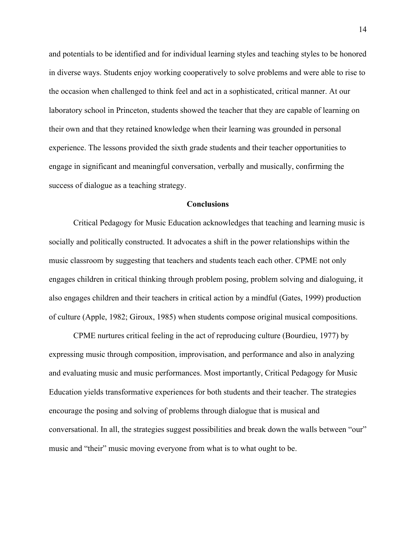and potentials to be identified and for individual learning styles and teaching styles to be honored in diverse ways. Students enjoy working cooperatively to solve problems and were able to rise to the occasion when challenged to think feel and act in a sophisticated, critical manner. At our laboratory school in Princeton, students showed the teacher that they are capable of learning on their own and that they retained knowledge when their learning was grounded in personal experience. The lessons provided the sixth grade students and their teacher opportunities to engage in significant and meaningful conversation, verbally and musically, confirming the success of dialogue as a teaching strategy.

# **Conclusions**

Critical Pedagogy for Music Education acknowledges that teaching and learning music is socially and politically constructed. It advocates a shift in the power relationships within the music classroom by suggesting that teachers and students teach each other. CPME not only engages children in critical thinking through problem posing, problem solving and dialoguing, it also engages children and their teachers in critical action by a mindful (Gates, 1999) production of culture (Apple, 1982; Giroux, 1985) when students compose original musical compositions.

CPME nurtures critical feeling in the act of reproducing culture (Bourdieu, 1977) by expressing music through composition, improvisation, and performance and also in analyzing and evaluating music and music performances. Most importantly, Critical Pedagogy for Music Education yields transformative experiences for both students and their teacher. The strategies encourage the posing and solving of problems through dialogue that is musical and conversational. In all, the strategies suggest possibilities and break down the walls between "our" music and "their" music moving everyone from what is to what ought to be.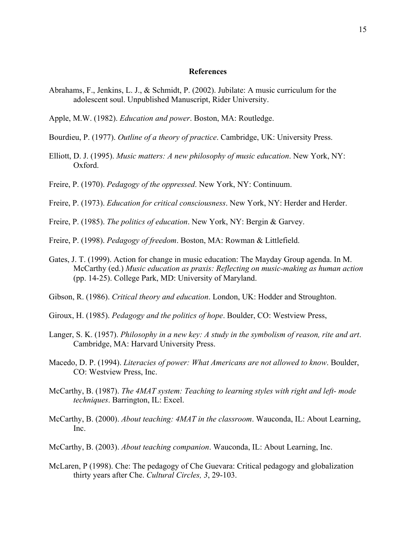### **References**

- Abrahams, F., Jenkins, L. J., & Schmidt, P. (2002). Jubilate: A music curriculum for the adolescent soul. Unpublished Manuscript, Rider University.
- Apple, M.W. (1982). *Education and power*. Boston, MA: Routledge.
- Bourdieu, P. (1977). *Outline of a theory of practice*. Cambridge, UK: University Press.
- Elliott, D. J. (1995). *Music matters: A new philosophy of music education*. New York, NY: Oxford.
- Freire, P. (1970). *Pedagogy of the oppressed*. New York, NY: Continuum.
- Freire, P. (1973). *Education for critical consciousness*. New York, NY: Herder and Herder.
- Freire, P. (1985). *The politics of education*. New York, NY: Bergin & Garvey.
- Freire, P. (1998). *Pedagogy of freedom*. Boston, MA: Rowman & Littlefield.
- Gates, J. T. (1999). Action for change in music education: The Mayday Group agenda. In M. McCarthy (ed.) *Music education as praxis: Reflecting on music-making as human action* (pp. 14-25). College Park, MD: University of Maryland.
- Gibson, R. (1986). *Critical theory and education*. London, UK: Hodder and Stroughton.
- Giroux, H. (1985). *Pedagogy and the politics of hope*. Boulder, CO: Westview Press,
- Langer, S. K. (1957). *Philosophy in a new key: A study in the symbolism of reason, rite and art*. Cambridge, MA: Harvard University Press.
- Macedo, D. P. (1994). *Literacies of power: What Americans are not allowed to know*. Boulder, CO: Westview Press, Inc.
- McCarthy, B. (1987). *The 4MAT system: Teaching to learning styles with right and left- mode techniques*. Barrington, IL: Excel.
- McCarthy, B. (2000). *About teaching: 4MAT in the classroom*. Wauconda, IL: About Learning, Inc.
- McCarthy, B. (2003). *About teaching companion*. Wauconda, IL: About Learning, Inc.
- McLaren, P (1998). Che: The pedagogy of Che Guevara: Critical pedagogy and globalization thirty years after Che. *Cultural Circles, 3*, 29-103.